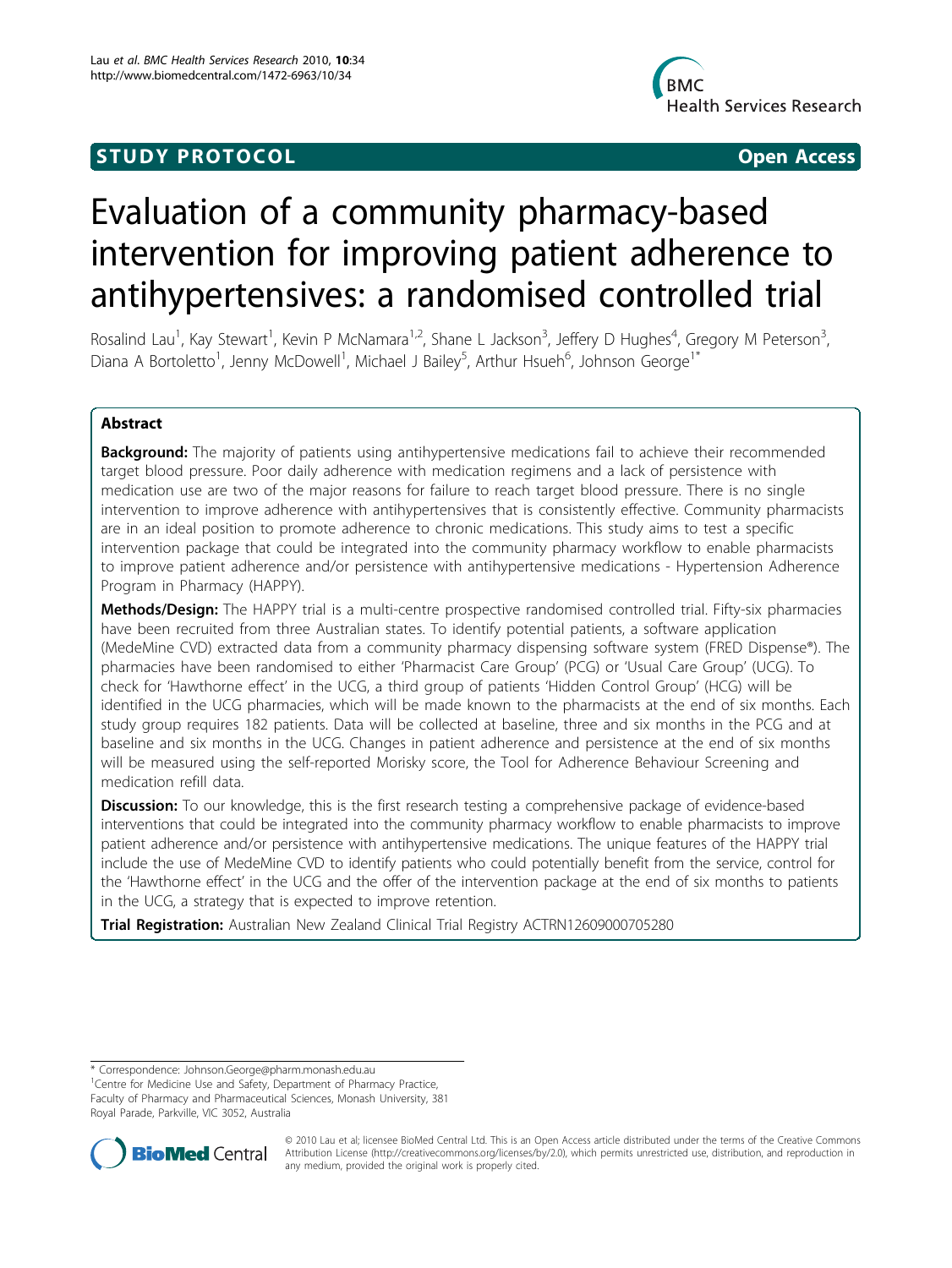## **STUDY PROTOCOL** CONTROL CONTROL CONTROL CONTROL CONTROL CONTROL CONTROL CONTROL CONTROL CONTROL CONTROL CONTROL CONTROL CONTROL CONTROL CONTROL CONTROL CONTROL CONTROL CONTROL CONTROL CONTROL CONTROL CONTROL CONTROL CONTR



# Evaluation of a community pharmacy-based intervention for improving patient adherence to antihypertensives: a randomised controlled trial

Rosalind Lau<sup>1</sup>, Kay Stewart<sup>1</sup>, Kevin P McNamara<sup>1,2</sup>, Shane L Jackson<sup>3</sup>, Jeffery D Hughes<sup>4</sup>, Gregory M Peterson<sup>3</sup> , Diana A Bortoletto<sup>1</sup>, Jenny McDowell<sup>1</sup>, Michael J Bailey<sup>5</sup>, Arthur Hsueh<sup>6</sup>, Johnson George<sup>1\*</sup>

## Abstract

**Background:** The majority of patients using antihypertensive medications fail to achieve their recommended target blood pressure. Poor daily adherence with medication regimens and a lack of persistence with medication use are two of the major reasons for failure to reach target blood pressure. There is no single intervention to improve adherence with antihypertensives that is consistently effective. Community pharmacists are in an ideal position to promote adherence to chronic medications. This study aims to test a specific intervention package that could be integrated into the community pharmacy workflow to enable pharmacists to improve patient adherence and/or persistence with antihypertensive medications - Hypertension Adherence Program in Pharmacy (HAPPY).

Methods/Design: The HAPPY trial is a multi-centre prospective randomised controlled trial. Fifty-six pharmacies have been recruited from three Australian states. To identify potential patients, a software application (MedeMine CVD) extracted data from a community pharmacy dispensing software system (FRED Dispense®). The pharmacies have been randomised to either 'Pharmacist Care Group' (PCG) or 'Usual Care Group' (UCG). To check for 'Hawthorne effect' in the UCG, a third group of patients 'Hidden Control Group' (HCG) will be identified in the UCG pharmacies, which will be made known to the pharmacists at the end of six months. Each study group requires 182 patients. Data will be collected at baseline, three and six months in the PCG and at baseline and six months in the UCG. Changes in patient adherence and persistence at the end of six months will be measured using the self-reported Morisky score, the Tool for Adherence Behaviour Screening and medication refill data.

**Discussion:** To our knowledge, this is the first research testing a comprehensive package of evidence-based interventions that could be integrated into the community pharmacy workflow to enable pharmacists to improve patient adherence and/or persistence with antihypertensive medications. The unique features of the HAPPY trial include the use of MedeMine CVD to identify patients who could potentially benefit from the service, control for the 'Hawthorne effect' in the UCG and the offer of the intervention package at the end of six months to patients in the UCG, a strategy that is expected to improve retention.

Trial Registration: Australian New Zealand Clinical Trial Registry ACTRN12609000705280

<sup>1</sup> Centre for Medicine Use and Safety, Department of Pharmacy Practice, Faculty of Pharmacy and Pharmaceutical Sciences, Monash University, 381 Royal Parade, Parkville, VIC 3052, Australia



© 2010 Lau et al; licensee BioMed Central Ltd. This is an Open Access article distributed under the terms of the Creative Commons Attribution License [\(http://creativecommons.org/licenses/by/2.0](http://creativecommons.org/licenses/by/2.0)), which permits unrestricted use, distribution, and reproduction in any medium, provided the original work is properly cited.

<sup>\*</sup> Correspondence: [Johnson.George@pharm.monash.edu.au](mailto:Johnson.George@pharm.monash.edu.au)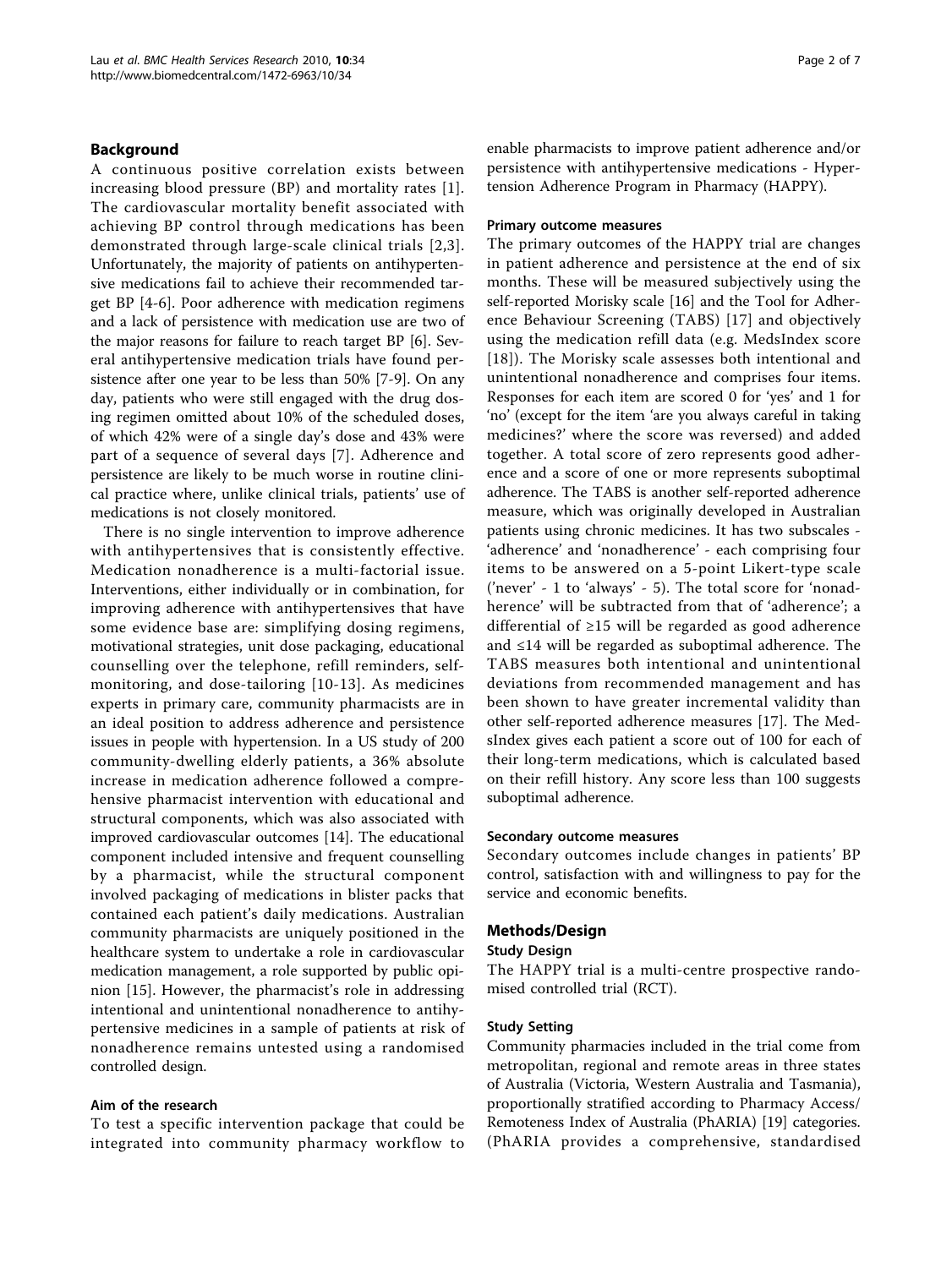## Background

A continuous positive correlation exists between increasing blood pressure (BP) and mortality rates [[1](#page-5-0)]. The cardiovascular mortality benefit associated with achieving BP control through medications has been demonstrated through large-scale clinical trials [[2](#page-5-0),[3\]](#page-5-0). Unfortunately, the majority of patients on antihypertensive medications fail to achieve their recommended target BP [[4-](#page-5-0)[6](#page-6-0)]. Poor adherence with medication regimens and a lack of persistence with medication use are two of the major reasons for failure to reach target BP [[6](#page-6-0)]. Several antihypertensive medication trials have found persistence after one year to be less than 50% [\[7](#page-6-0)-[9](#page-6-0)]. On any day, patients who were still engaged with the drug dosing regimen omitted about 10% of the scheduled doses, of which 42% were of a single day's dose and 43% were part of a sequence of several days [[7](#page-6-0)]. Adherence and persistence are likely to be much worse in routine clinical practice where, unlike clinical trials, patients' use of medications is not closely monitored.

There is no single intervention to improve adherence with antihypertensives that is consistently effective. Medication nonadherence is a multi-factorial issue. Interventions, either individually or in combination, for improving adherence with antihypertensives that have some evidence base are: simplifying dosing regimens, motivational strategies, unit dose packaging, educational counselling over the telephone, refill reminders, selfmonitoring, and dose-tailoring [\[10-13\]](#page-6-0). As medicines experts in primary care, community pharmacists are in an ideal position to address adherence and persistence issues in people with hypertension. In a US study of 200 community-dwelling elderly patients, a 36% absolute increase in medication adherence followed a comprehensive pharmacist intervention with educational and structural components, which was also associated with improved cardiovascular outcomes [[14\]](#page-6-0). The educational component included intensive and frequent counselling by a pharmacist, while the structural component involved packaging of medications in blister packs that contained each patient's daily medications. Australian community pharmacists are uniquely positioned in the healthcare system to undertake a role in cardiovascular medication management, a role supported by public opinion [\[15](#page-6-0)]. However, the pharmacist's role in addressing intentional and unintentional nonadherence to antihypertensive medicines in a sample of patients at risk of nonadherence remains untested using a randomised controlled design.

#### Aim of the research

To test a specific intervention package that could be integrated into community pharmacy workflow to enable pharmacists to improve patient adherence and/or persistence with antihypertensive medications - Hypertension Adherence Program in Pharmacy (HAPPY).

#### Primary outcome measures

The primary outcomes of the HAPPY trial are changes in patient adherence and persistence at the end of six months. These will be measured subjectively using the self-reported Morisky scale [\[16\]](#page-6-0) and the Tool for Adherence Behaviour Screening (TABS) [[17\]](#page-6-0) and objectively using the medication refill data (e.g. MedsIndex score [[18](#page-6-0)]). The Morisky scale assesses both intentional and unintentional nonadherence and comprises four items. Responses for each item are scored 0 for 'yes' and 1 for 'no' (except for the item 'are you always careful in taking medicines?' where the score was reversed) and added together. A total score of zero represents good adherence and a score of one or more represents suboptimal adherence. The TABS is another self-reported adherence measure, which was originally developed in Australian patients using chronic medicines. It has two subscales - 'adherence' and 'nonadherence' - each comprising four items to be answered on a 5-point Likert-type scale ('never' - 1 to 'always' - 5). The total score for 'nonadherence' will be subtracted from that of 'adherence'; a differential of ≥15 will be regarded as good adherence and ≤14 will be regarded as suboptimal adherence. The TABS measures both intentional and unintentional deviations from recommended management and has been shown to have greater incremental validity than other self-reported adherence measures [\[17](#page-6-0)]. The MedsIndex gives each patient a score out of 100 for each of their long-term medications, which is calculated based on their refill history. Any score less than 100 suggests suboptimal adherence.

#### Secondary outcome measures

Secondary outcomes include changes in patients' BP control, satisfaction with and willingness to pay for the service and economic benefits.

#### Methods/Design

#### Study Design

The HAPPY trial is a multi-centre prospective randomised controlled trial (RCT).

#### Study Setting

Community pharmacies included in the trial come from metropolitan, regional and remote areas in three states of Australia (Victoria, Western Australia and Tasmania), proportionally stratified according to Pharmacy Access/ Remoteness Index of Australia (PhARIA) [[19\]](#page-6-0) categories. (PhARIA provides a comprehensive, standardised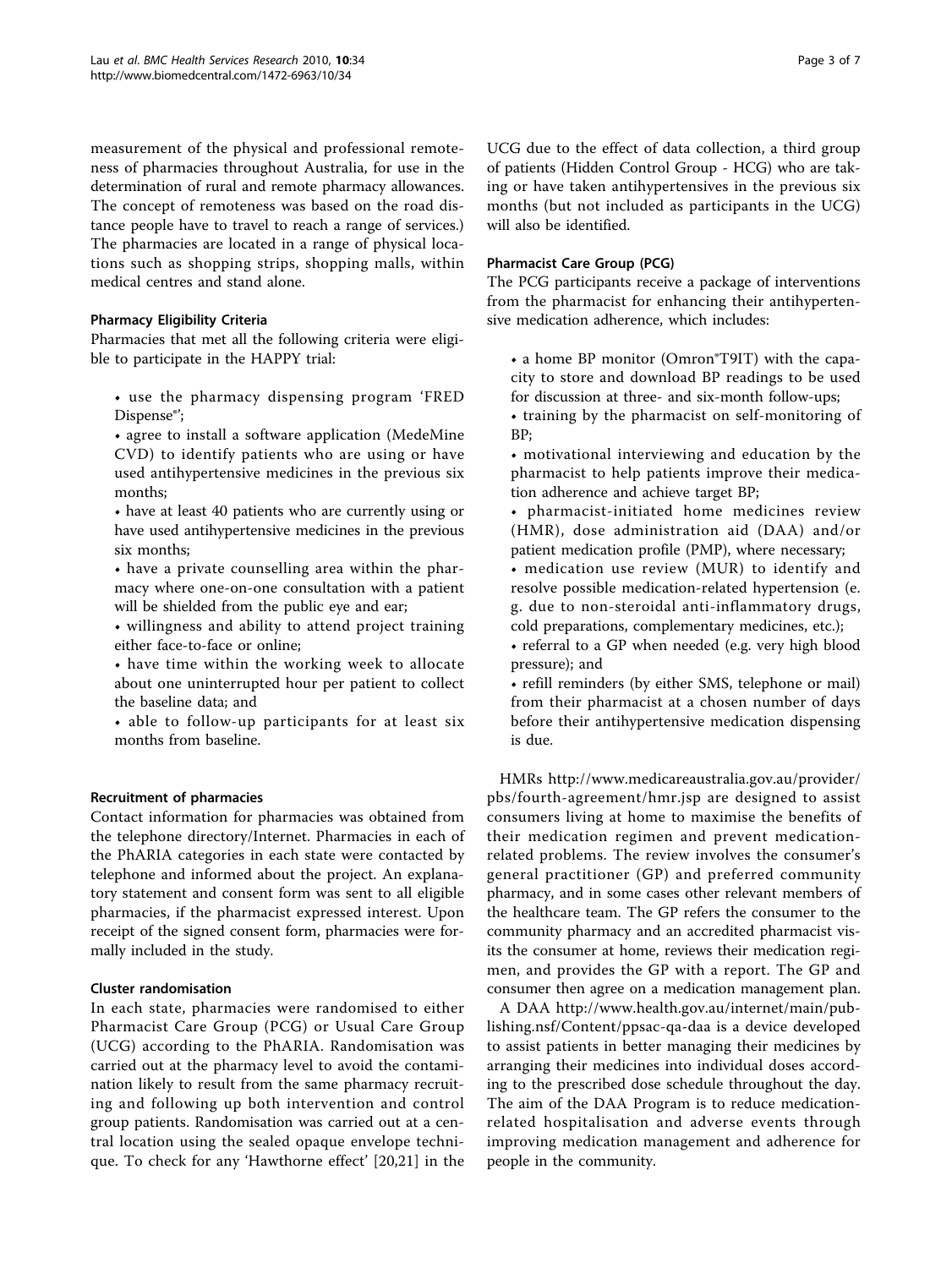measurement of the physical and professional remoteness of pharmacies throughout Australia, for use in the determination of rural and remote pharmacy allowances. The concept of remoteness was based on the road distance people have to travel to reach a range of services.) The pharmacies are located in a range of physical locations such as shopping strips, shopping malls, within medical centres and stand alone.

## Pharmacy Eligibility Criteria

Pharmacies that met all the following criteria were eligible to participate in the HAPPY trial:

- use the pharmacy dispensing program 'FRED Dispense<sup>®</sup>';
- agree to install a software application (MedeMine CVD) to identify patients who are using or have used antihypertensive medicines in the previous six months;
- have at least 40 patients who are currently using or have used antihypertensive medicines in the previous six months;
- have a private counselling area within the pharmacy where one-on-one consultation with a patient will be shielded from the public eye and ear;
- willingness and ability to attend project training either face-to-face or online;
- have time within the working week to allocate about one uninterrupted hour per patient to collect the baseline data; and
- able to follow-up participants for at least six months from baseline.

#### Recruitment of pharmacies

Contact information for pharmacies was obtained from the telephone directory/Internet. Pharmacies in each of the PhARIA categories in each state were contacted by telephone and informed about the project. An explanatory statement and consent form was sent to all eligible pharmacies, if the pharmacist expressed interest. Upon receipt of the signed consent form, pharmacies were formally included in the study.

## Cluster randomisation

In each state, pharmacies were randomised to either Pharmacist Care Group (PCG) or Usual Care Group (UCG) according to the PhARIA. Randomisation was carried out at the pharmacy level to avoid the contamination likely to result from the same pharmacy recruiting and following up both intervention and control group patients. Randomisation was carried out at a central location using the sealed opaque envelope technique. To check for any 'Hawthorne effect' [[20,21](#page-6-0)] in the UCG due to the effect of data collection, a third group of patients (Hidden Control Group - HCG) who are taking or have taken antihypertensives in the previous six months (but not included as participants in the UCG) will also be identified.

## Pharmacist Care Group (PCG)

The PCG participants receive a package of interventions from the pharmacist for enhancing their antihypertensive medication adherence, which includes:

- a home BP monitor (Omron®T9IT) with the capacity to store and download BP readings to be used for discussion at three- and six-month follow-ups;
- training by the pharmacist on self-monitoring of BP;
- motivational interviewing and education by the pharmacist to help patients improve their medication adherence and achieve target BP;
- pharmacist-initiated home medicines review (HMR), dose administration aid (DAA) and/or patient medication profile (PMP), where necessary;
- medication use review (MUR) to identify and resolve possible medication-related hypertension (e. g. due to non-steroidal anti-inflammatory drugs, cold preparations, complementary medicines, etc.);
- referral to a GP when needed (e.g. very high blood pressure); and
- refill reminders (by either SMS, telephone or mail) from their pharmacist at a chosen number of days before their antihypertensive medication dispensing is due.

HMRs [http://www.medicareaustralia.gov.au/provider/](http://www.medicareaustralia.gov.au/provider/pbs/fourth-agreement/hmr.jsp) [pbs/fourth-agreement/hmr.jsp](http://www.medicareaustralia.gov.au/provider/pbs/fourth-agreement/hmr.jsp) are designed to assist consumers living at home to maximise the benefits of their medication regimen and prevent medicationrelated problems. The review involves the consumer's general practitioner (GP) and preferred community pharmacy, and in some cases other relevant members of the healthcare team. The GP refers the consumer to the community pharmacy and an accredited pharmacist visits the consumer at home, reviews their medication regimen, and provides the GP with a report. The GP and consumer then agree on a medication management plan.

A DAA [http://www.health.gov.au/internet/main/pub](http://www.health.gov.au/internet/main/publishing.nsf/Content/ppsac-qa-daa)[lishing.nsf/Content/ppsac-qa-daa](http://www.health.gov.au/internet/main/publishing.nsf/Content/ppsac-qa-daa) is a device developed to assist patients in better managing their medicines by arranging their medicines into individual doses according to the prescribed dose schedule throughout the day. The aim of the DAA Program is to reduce medicationrelated hospitalisation and adverse events through improving medication management and adherence for people in the community.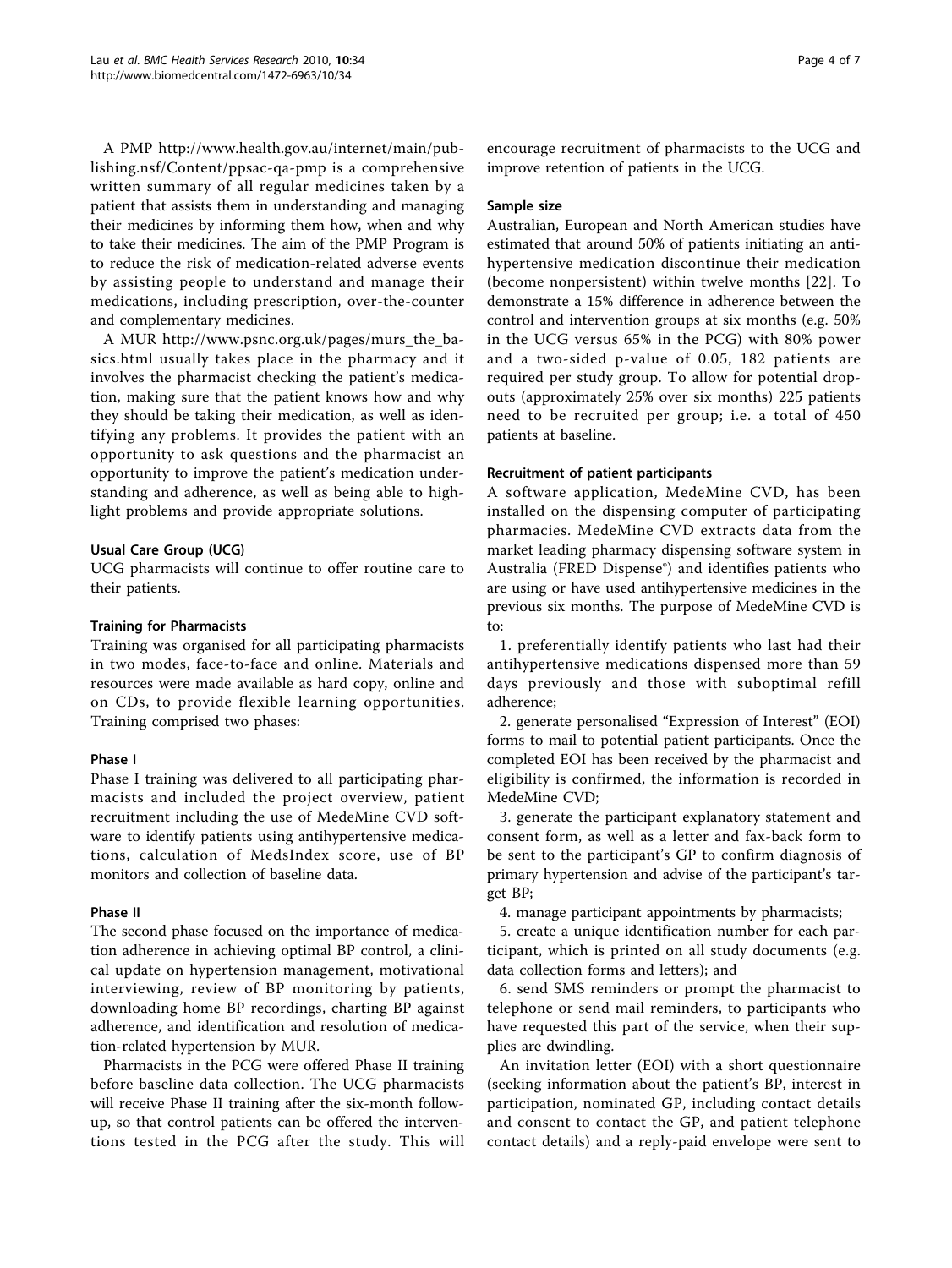A PMP [http://www.health.gov.au/internet/main/pub](http://www.health.gov.au/internet/main/publishing.nsf/Content/ppsac-qa-pmp)[lishing.nsf/Content/ppsac-qa-pmp](http://www.health.gov.au/internet/main/publishing.nsf/Content/ppsac-qa-pmp) is a comprehensive written summary of all regular medicines taken by a patient that assists them in understanding and managing their medicines by informing them how, when and why to take their medicines. The aim of the PMP Program is to reduce the risk of medication-related adverse events by assisting people to understand and manage their medications, including prescription, over-the-counter and complementary medicines.

A MUR [http://www.psnc.org.uk/pages/murs\\_the\\_ba](http://www.psnc.org.uk/pages/murs_the_basics.html)[sics.html](http://www.psnc.org.uk/pages/murs_the_basics.html) usually takes place in the pharmacy and it involves the pharmacist checking the patient's medication, making sure that the patient knows how and why they should be taking their medication, as well as identifying any problems. It provides the patient with an opportunity to ask questions and the pharmacist an opportunity to improve the patient's medication understanding and adherence, as well as being able to highlight problems and provide appropriate solutions.

## Usual Care Group (UCG)

UCG pharmacists will continue to offer routine care to their patients.

## Training for Pharmacists

Training was organised for all participating pharmacists in two modes, face-to-face and online. Materials and resources were made available as hard copy, online and on CDs, to provide flexible learning opportunities. Training comprised two phases:

#### Phase I

Phase I training was delivered to all participating pharmacists and included the project overview, patient recruitment including the use of MedeMine CVD software to identify patients using antihypertensive medications, calculation of MedsIndex score, use of BP monitors and collection of baseline data.

#### Phase II

The second phase focused on the importance of medication adherence in achieving optimal BP control, a clinical update on hypertension management, motivational interviewing, review of BP monitoring by patients, downloading home BP recordings, charting BP against adherence, and identification and resolution of medication-related hypertension by MUR.

Pharmacists in the PCG were offered Phase II training before baseline data collection. The UCG pharmacists will receive Phase II training after the six-month followup, so that control patients can be offered the interventions tested in the PCG after the study. This will encourage recruitment of pharmacists to the UCG and improve retention of patients in the UCG.

#### Sample size

Australian, European and North American studies have estimated that around 50% of patients initiating an antihypertensive medication discontinue their medication (become nonpersistent) within twelve months [[22\]](#page-6-0). To demonstrate a 15% difference in adherence between the control and intervention groups at six months (e.g. 50% in the UCG versus 65% in the PCG) with 80% power and a two-sided p-value of 0.05, 182 patients are required per study group. To allow for potential dropouts (approximately 25% over six months) 225 patients need to be recruited per group; i.e. a total of 450 patients at baseline.

## Recruitment of patient participants

A software application, MedeMine CVD, has been installed on the dispensing computer of participating pharmacies. MedeMine CVD extracts data from the market leading pharmacy dispensing software system in Australia (FRED Dispense®) and identifies patients who are using or have used antihypertensive medicines in the previous six months. The purpose of MedeMine CVD is to:

1. preferentially identify patients who last had their antihypertensive medications dispensed more than 59 days previously and those with suboptimal refill adherence;

2. generate personalised "Expression of Interest" (EOI) forms to mail to potential patient participants. Once the completed EOI has been received by the pharmacist and eligibility is confirmed, the information is recorded in MedeMine CVD;

3. generate the participant explanatory statement and consent form, as well as a letter and fax-back form to be sent to the participant's GP to confirm diagnosis of primary hypertension and advise of the participant's target BP;

4. manage participant appointments by pharmacists;

5. create a unique identification number for each participant, which is printed on all study documents (e.g. data collection forms and letters); and

6. send SMS reminders or prompt the pharmacist to telephone or send mail reminders, to participants who have requested this part of the service, when their supplies are dwindling.

An invitation letter (EOI) with a short questionnaire (seeking information about the patient's BP, interest in participation, nominated GP, including contact details and consent to contact the GP, and patient telephone contact details) and a reply-paid envelope were sent to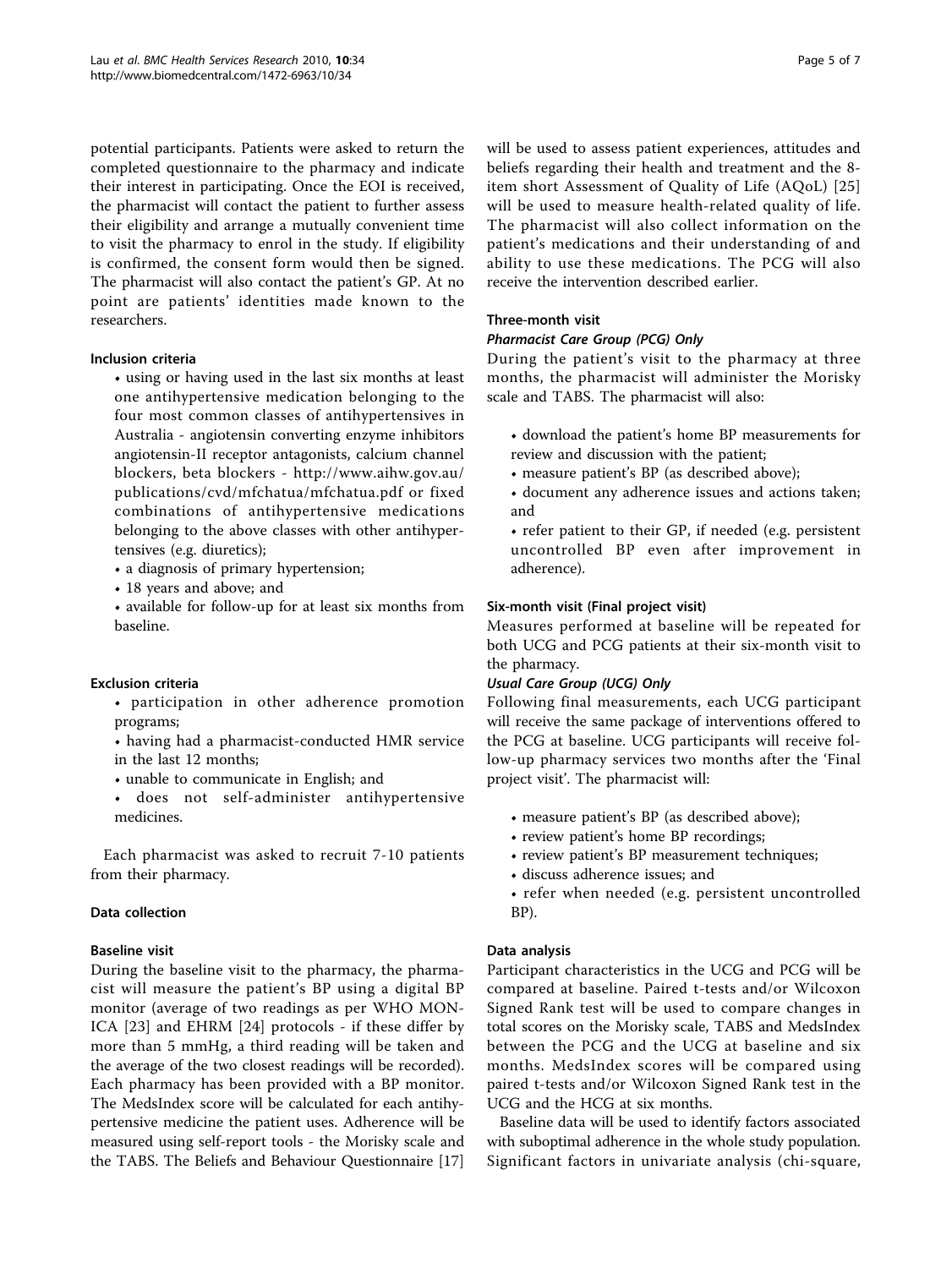potential participants. Patients were asked to return the completed questionnaire to the pharmacy and indicate their interest in participating. Once the EOI is received, the pharmacist will contact the patient to further assess their eligibility and arrange a mutually convenient time to visit the pharmacy to enrol in the study. If eligibility is confirmed, the consent form would then be signed. The pharmacist will also contact the patient's GP. At no point are patients' identities made known to the researchers.

## Inclusion criteria

• using or having used in the last six months at least one antihypertensive medication belonging to the four most common classes of antihypertensives in Australia - angiotensin converting enzyme inhibitors angiotensin-II receptor antagonists, calcium channel blockers, beta blockers - [http://www.aihw.gov.au/](http://www.aihw.gov.au/publications/cvd/mfchatua/mfchatua.pdf) [publications/cvd/mfchatua/mfchatua.pdf](http://www.aihw.gov.au/publications/cvd/mfchatua/mfchatua.pdf) or fixed combinations of antihypertensive medications belonging to the above classes with other antihypertensives (e.g. diuretics);

• a diagnosis of primary hypertension;

• 18 years and above; and

• available for follow-up for at least six months from baseline.

## Exclusion criteria

• participation in other adherence promotion programs;

• having had a pharmacist-conducted HMR service in the last 12 months;

• unable to communicate in English; and

• does not self-administer antihypertensive medicines.

Each pharmacist was asked to recruit 7-10 patients from their pharmacy.

#### Data collection

## Baseline visit

During the baseline visit to the pharmacy, the pharmacist will measure the patient's BP using a digital BP monitor (average of two readings as per WHO MON-ICA [[23](#page-6-0)] and EHRM [[24\]](#page-6-0) protocols - if these differ by more than 5 mmHg, a third reading will be taken and the average of the two closest readings will be recorded). Each pharmacy has been provided with a BP monitor. The MedsIndex score will be calculated for each antihypertensive medicine the patient uses. Adherence will be measured using self-report tools - the Morisky scale and the TABS. The Beliefs and Behaviour Questionnaire [[17](#page-6-0)] will be used to assess patient experiences, attitudes and beliefs regarding their health and treatment and the 8 item short Assessment of Quality of Life (AQoL) [[25](#page-6-0)] will be used to measure health-related quality of life. The pharmacist will also collect information on the patient's medications and their understanding of and ability to use these medications. The PCG will also receive the intervention described earlier.

## Three-month visit

## Pharmacist Care Group (PCG) Only

During the patient's visit to the pharmacy at three months, the pharmacist will administer the Morisky scale and TABS. The pharmacist will also:

- download the patient's home BP measurements for review and discussion with the patient;
- measure patient's BP (as described above);
- document any adherence issues and actions taken; and

• refer patient to their GP, if needed (e.g. persistent uncontrolled BP even after improvement in adherence).

## Six-month visit (Final project visit)

Measures performed at baseline will be repeated for both UCG and PCG patients at their six-month visit to the pharmacy.

## Usual Care Group (UCG) Only

Following final measurements, each UCG participant will receive the same package of interventions offered to the PCG at baseline. UCG participants will receive follow-up pharmacy services two months after the 'Final project visit'. The pharmacist will:

- measure patient's BP (as described above);
- review patient's home BP recordings;
- review patient's BP measurement techniques;
- discuss adherence issues; and
- refer when needed (e.g. persistent uncontrolled BP).

## Data analysis

Participant characteristics in the UCG and PCG will be compared at baseline. Paired t-tests and/or Wilcoxon Signed Rank test will be used to compare changes in total scores on the Morisky scale, TABS and MedsIndex between the PCG and the UCG at baseline and six months. MedsIndex scores will be compared using paired t-tests and/or Wilcoxon Signed Rank test in the UCG and the HCG at six months.

Baseline data will be used to identify factors associated with suboptimal adherence in the whole study population. Significant factors in univariate analysis (chi-square,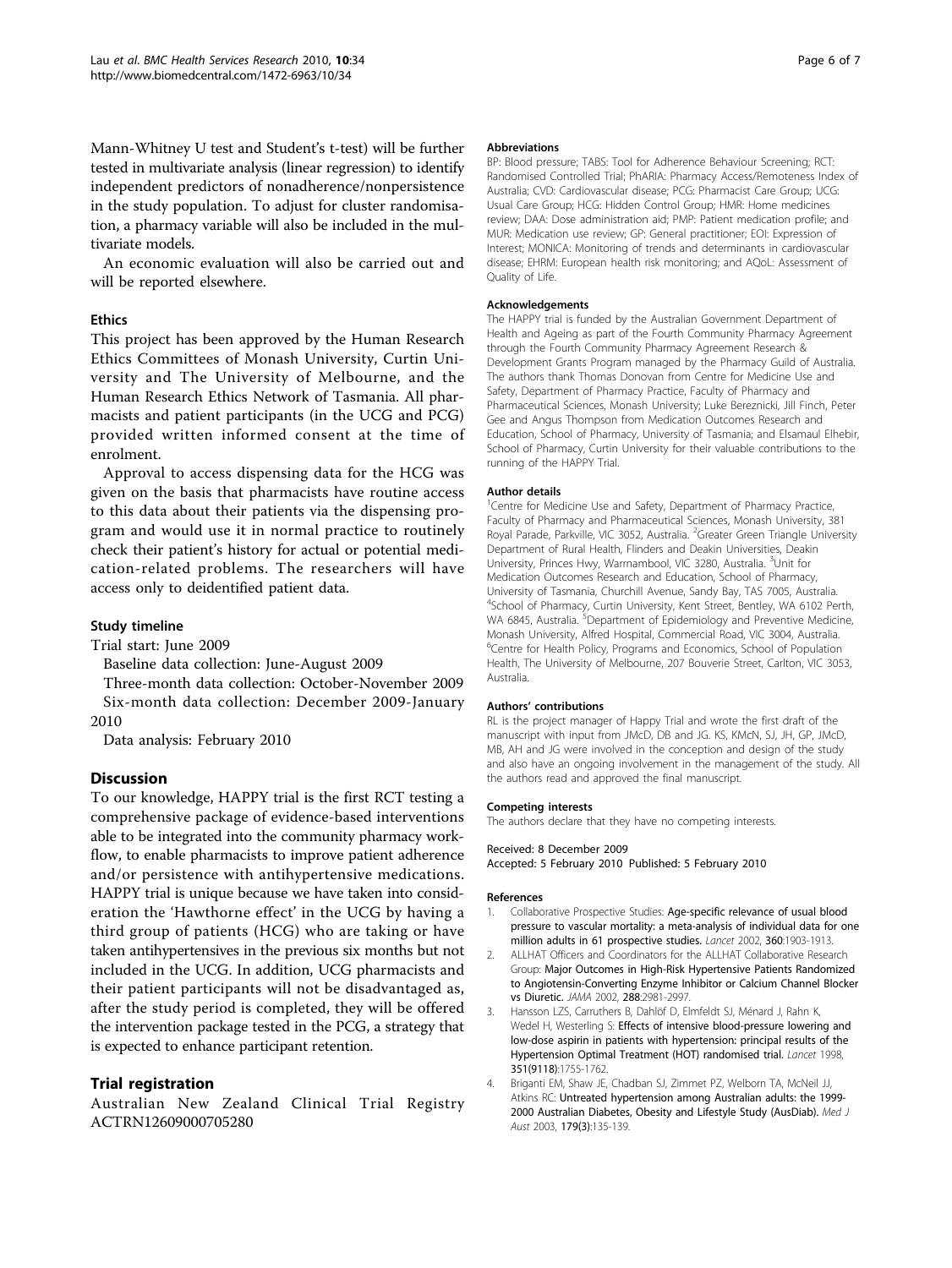<span id="page-5-0"></span>Mann-Whitney U test and Student's t-test) will be further tested in multivariate analysis (linear regression) to identify independent predictors of nonadherence/nonpersistence in the study population. To adjust for cluster randomisation, a pharmacy variable will also be included in the multivariate models.

An economic evaluation will also be carried out and will be reported elsewhere.

## Ethics

This project has been approved by the Human Research Ethics Committees of Monash University, Curtin University and The University of Melbourne, and the Human Research Ethics Network of Tasmania. All pharmacists and patient participants (in the UCG and PCG) provided written informed consent at the time of enrolment.

Approval to access dispensing data for the HCG was given on the basis that pharmacists have routine access to this data about their patients via the dispensing program and would use it in normal practice to routinely check their patient's history for actual or potential medication-related problems. The researchers will have access only to deidentified patient data.

## Study timeline

Trial start: June 2009

Baseline data collection: June-August 2009

Three-month data collection: October-November 2009 Six-month data collection: December 2009-January 2010

Data analysis: February 2010

## **Discussion**

To our knowledge, HAPPY trial is the first RCT testing a comprehensive package of evidence-based interventions able to be integrated into the community pharmacy workflow, to enable pharmacists to improve patient adherence and/or persistence with antihypertensive medications. HAPPY trial is unique because we have taken into consideration the 'Hawthorne effect' in the UCG by having a third group of patients (HCG) who are taking or have taken antihypertensives in the previous six months but not included in the UCG. In addition, UCG pharmacists and their patient participants will not be disadvantaged as, after the study period is completed, they will be offered the intervention package tested in the PCG, a strategy that is expected to enhance participant retention.

## Trial registration

Australian New Zealand Clinical Trial Registry ACTRN12609000705280

#### Abbreviations

BP: Blood pressure; TABS: Tool for Adherence Behaviour Screening; RCT: Randomised Controlled Trial; PhARIA: Pharmacy Access/Remoteness Index of Australia; CVD: Cardiovascular disease; PCG: Pharmacist Care Group; UCG: Usual Care Group; HCG: Hidden Control Group; HMR: Home medicines review; DAA: Dose administration aid; PMP: Patient medication profile; and MUR: Medication use review; GP: General practitioner; EOI: Expression of Interest; MONICA: Monitoring of trends and determinants in cardiovascular disease; EHRM: European health risk monitoring; and AQoL: Assessment of Quality of Life.

#### Acknowledgements

The HAPPY trial is funded by the Australian Government Department of Health and Ageing as part of the Fourth Community Pharmacy Agreement through the Fourth Community Pharmacy Agreement Research & Development Grants Program managed by the Pharmacy Guild of Australia. The authors thank Thomas Donovan from Centre for Medicine Use and Safety, Department of Pharmacy Practice, Faculty of Pharmacy and Pharmaceutical Sciences, Monash University; Luke Bereznicki, Jill Finch, Peter Gee and Angus Thompson from Medication Outcomes Research and Education, School of Pharmacy, University of Tasmania; and Elsamaul Elhebir, School of Pharmacy, Curtin University for their valuable contributions to the running of the HAPPY Trial.

#### Author details

<sup>1</sup> Centre for Medicine Use and Safety, Department of Pharmacy Practice, Faculty of Pharmacy and Pharmaceutical Sciences, Monash University, 381 Royal Parade, Parkville, VIC 3052, Australia. <sup>2</sup>Greater Green Triangle University Department of Rural Health, Flinders and Deakin Universities, Deakin University, Princes Hwy, Warrnambool, VIC 3280, Australia. <sup>3</sup>Unit for Medication Outcomes Research and Education, School of Pharmacy, University of Tasmania, Churchill Avenue, Sandy Bay, TAS 7005, Australia. 4 School of Pharmacy, Curtin University, Kent Street, Bentley, WA 6102 Perth, WA 6845, Australia. <sup>5</sup>Department of Epidemiology and Preventive Medicine, Monash University, Alfred Hospital, Commercial Road, VIC 3004, Australia. 6 Centre for Health Policy, Programs and Economics, School of Population Health, The University of Melbourne, 207 Bouverie Street, Carlton, VIC 3053, Australia.

#### Authors' contributions

RL is the project manager of Happy Trial and wrote the first draft of the manuscript with input from JMcD, DB and JG. KS, KMcN, SJ, JH, GP, JMcD, MB, AH and JG were involved in the conception and design of the study and also have an ongoing involvement in the management of the study. All the authors read and approved the final manuscript.

#### Competing interests

The authors declare that they have no competing interests.

#### Received: 8 December 2009

Accepted: 5 February 2010 Published: 5 February 2010

#### References

- Collaborative Prospective Studies: [Age-specific relevance of usual blood](http://www.ncbi.nlm.nih.gov/pubmed/12493255?dopt=Abstract) [pressure to vascular mortality: a meta-analysis of individual data for one](http://www.ncbi.nlm.nih.gov/pubmed/12493255?dopt=Abstract) [million adults in 61 prospective studies.](http://www.ncbi.nlm.nih.gov/pubmed/12493255?dopt=Abstract) Lancet 2002, 360:1903-1913.
- ALLHAT Officers and Coordinators for the ALLHAT Collaborative Research Group: [Major Outcomes in High-Risk Hypertensive Patients Randomized](http://www.ncbi.nlm.nih.gov/pubmed/12479763?dopt=Abstract) [to Angiotensin-Converting Enzyme Inhibitor or Calcium Channel Blocker](http://www.ncbi.nlm.nih.gov/pubmed/12479763?dopt=Abstract) [vs Diuretic.](http://www.ncbi.nlm.nih.gov/pubmed/12479763?dopt=Abstract) JAMA 2002, 288:2981-2997.
- 3. Hansson LZS, Carruthers B, Dahlöf D, Elmfeldt SJ, Ménard J, Rahn K, Wedel H, Westerling S: [Effects of intensive blood-pressure lowering and](http://www.ncbi.nlm.nih.gov/pubmed/9635947?dopt=Abstract) [low-dose aspirin in patients with hypertension: principal results of the](http://www.ncbi.nlm.nih.gov/pubmed/9635947?dopt=Abstract) [Hypertension Optimal Treatment \(HOT\) randomised trial.](http://www.ncbi.nlm.nih.gov/pubmed/9635947?dopt=Abstract) Lancet 1998, 351(9118):1755-1762.
- 4. Briganti EM, Shaw JE, Chadban SJ, Zimmet PZ, Welborn TA, McNeil JJ, Atkins RC: [Untreated hypertension among Australian adults: the 1999-](http://www.ncbi.nlm.nih.gov/pubmed/12885281?dopt=Abstract) [2000 Australian Diabetes, Obesity and Lifestyle Study \(AusDiab\).](http://www.ncbi.nlm.nih.gov/pubmed/12885281?dopt=Abstract) Med J Aust 2003, 179(3):135-139.